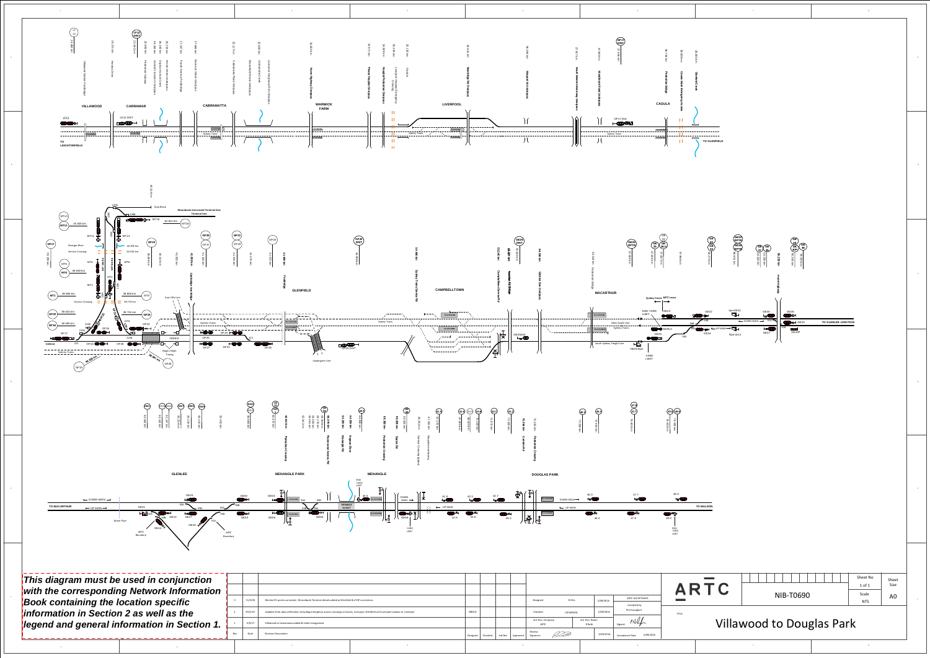

|       |                                                                                                                                        |                                |                                         |                          |                              |  | ARTC         |
|-------|----------------------------------------------------------------------------------------------------------------------------------------|--------------------------------|-----------------------------------------|--------------------------|------------------------------|--|--------------|
| /3/20 | Glenlee 91 points corrected, Moorebank Terminal details added at Glenfield & eTAP corrections                                          |                                | <b>BHILL</b><br>Designed                | 2/09/2016                | ARTC ACCEPTANCE              |  |              |
|       |                                                                                                                                        |                                |                                         |                          | Accepted by<br>Phil Campbell |  | <b>TITLE</b> |
| /1/19 | Updates from data verification including emergency access crossings at Casula, Liverpool, Glenfield and Liverpool viaduct to Liverpool | <b>DBOCZ</b>                   | Checked<br><b>J SPARROW</b>             | 2/09/2016                |                              |  |              |
| 9/17  | Villawood to Cabramatta added & sheet reorganised                                                                                      |                                | Ind. Rev. Company<br>ARTC               | Ind. Rev. Name<br>R Rath | $P \wedge Q$<br>Signed:      |  | <b>Iaw</b>   |
| ate   | <b>Revision Description</b>                                                                                                            | Ind.Rev<br>Designed<br>Checked | Review<br>Datt<br>Signature<br>Approved | 2/09/2016                | 2/09/2016<br>Acceptance Date |  |              |
|       |                                                                                                                                        |                                |                                         |                          |                              |  |              |